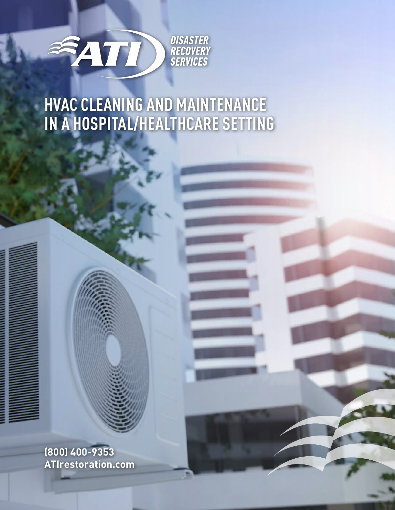

# **HVAC CLEANING AND MAINTENANCE IN A HOSPITAL/HEALTHCARE SETTING**

**(800) 400-9353 ATIrestoration.com**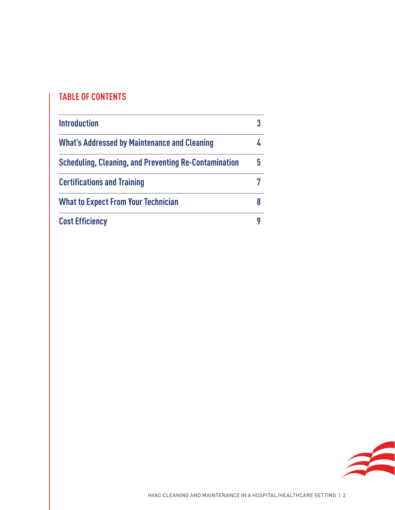#### **TABLE OF CONTENTS**

| <b>Introduction</b>                                          |   |
|--------------------------------------------------------------|---|
| <b>What's Addressed by Maintenance and Cleaning</b>          | 4 |
| <b>Scheduling, Cleaning, and Preventing Re-Contamination</b> | 5 |
| <b>Certifications and Training</b>                           | 7 |
| <b>What to Expect From Your Technician</b>                   | 8 |
| <b>Cost Efficiency</b>                                       | g |

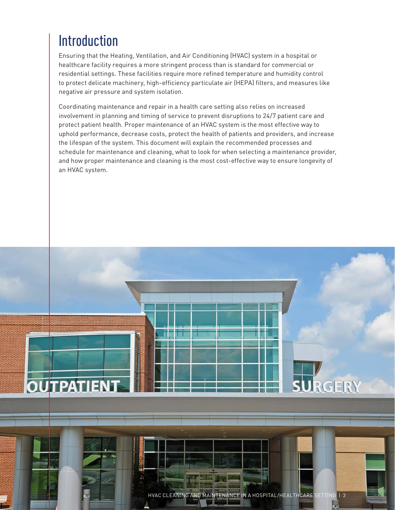### **Introduction**

Ensuring that the Heating, Ventilation, and Air Conditioning (HVAC) system in a hospital or healthcare facility requires a more stringent process than is standard for commercial or residential settings. These facilities require more refined temperature and humidity control to protect delicate machinery, high-efficiency particulate air (HEPA) filters, and measures like negative air pressure and system isolation.

Coordinating maintenance and repair in a health care setting also relies on increased involvement in planning and timing of service to prevent disruptions to 24/7 patient care and protect patient health. Proper maintenance of an HVAC system is the most effective way to uphold performance, decrease costs, protect the health of patients and providers, and increase the lifespan of the system. This document will explain the recommended processes and schedule for maintenance and cleaning, what to look for when selecting a maintenance provider, and how proper maintenance and cleaning is the most cost-effective way to ensure longevity of an HVAC system.

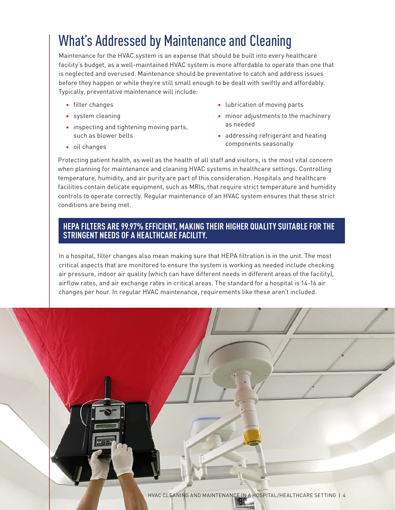## What's Addressed by Maintenance and Cleaning

Maintenance for the HVAC system is an expense that should be built into every healthcare facility's budget, as a well-maintained HVAC system is more affordable to operate than one that is neglected and overused. Maintenance should be preventative to catch and address issues before they happen or while they're still small enough to be dealt with swiftly and affordably. Typically, preventative maintenance will include:

- filter changes
- system cleaning
- inspecting and tightening moving parts, such as blower belts
- lubrication of moving parts
- minor adjustments to the machinery as needed
- addressing refrigerant and heating components seasonally

• oil changes

Protecting patient health, as well as the health of all staff and visitors, is the most vital concern when planning for maintenance and cleaning HVAC systems in healthcare settings. Controlling temperature, humidity, and air purity are part of this consideration. Hospitals and healthcare facilities contain delicate equipment, such as MRIs, that require strict temperature and humidity controls to operate correctly. Regular maintenance of an HVAC system ensures that these strict conditions are being met.

#### **HEPA FILTERS ARE 99.97% EFFICIENT, MAKING THEIR HIGHER QUALITY SUITABLE FOR THE STRINGENT NEEDS OF A HEALTHCARE FACILITY.**

In a hospital, filter changes also mean making sure that HEPA filtration is in the unit. The most critical aspects that are monitored to ensure the system is working as needed include checking air pressure, indoor air quality (which can have different needs in different areas of the facility), airflow rates, and air exchange rates in critical areas. The standard for a hospital is 14-16 air changes per hour. In regular HVAC maintenance, requirements like these aren't included.

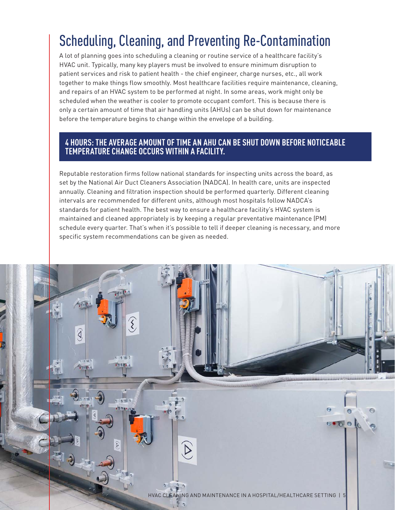## Scheduling, Cleaning, and Preventing Re-Contamination

A lot of planning goes into scheduling a cleaning or routine service of a healthcare facility's HVAC unit. Typically, many key players must be involved to ensure minimum disruption to patient services and risk to patient health - the chief engineer, charge nurses, etc., all work together to make things flow smoothly. Most healthcare facilities require maintenance, cleaning, and repairs of an HVAC system to be performed at night. In some areas, work might only be scheduled when the weather is cooler to promote occupant comfort. This is because there is only a certain amount of time that air handling units (AHUs) can be shut down for maintenance before the temperature begins to change within the envelope of a building.

#### **4 HOURS: THE AVERAGE AMOUNT OF TIME AN AHU CAN BE SHUT DOWN BEFORE NOTICEABLE TEMPERATURE CHANGE OCCURS WITHIN A FACILITY.**

Reputable restoration firms follow national standards for inspecting units across the board, as set by the National Air Duct Cleaners Association (NADCA). In health care, units are inspected annually. Cleaning and filtration inspection should be performed quarterly. Different cleaning intervals are recommended for different units, although most hospitals follow NADCA's standards for patient health. The best way to ensure a healthcare facility's HVAC system is maintained and cleaned appropriately is by keeping a regular preventative maintenance (PM) schedule every quarter. That's when it's possible to tell if deeper cleaning is necessary, and more specific system recommendations can be given as needed.

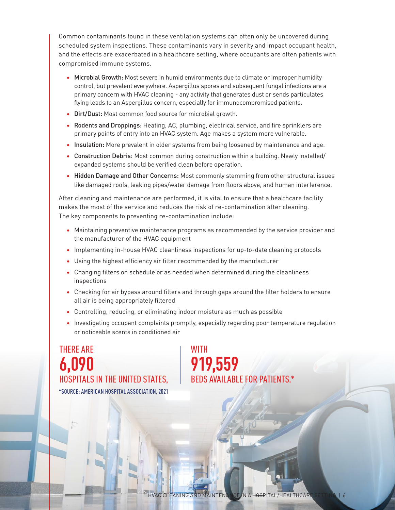Common contaminants found in these ventilation systems can often only be uncovered during scheduled system inspections. These contaminants vary in severity and impact occupant health, and the effects are exacerbated in a healthcare setting, where occupants are often patients with compromised immune systems.

- Microbial Growth: Most severe in humid environments due to climate or improper humidity control, but prevalent everywhere. Aspergillus spores and subsequent fungal infections are a primary concern with HVAC cleaning - any activity that generates dust or sends particulates flying leads to an Aspergillus concern, especially for immunocompromised patients.
- Dirt/Dust: Most common food source for microbial growth.
- Rodents and Droppings: Heating, AC, plumbing, electrical service, and fire sprinklers are primary points of entry into an HVAC system. Age makes a system more vulnerable.
- Insulation: More prevalent in older systems from being loosened by maintenance and age.
- Construction Debris: Most common during construction within a building. Newly installed/ expanded systems should be verified clean before operation.
- Hidden Damage and Other Concerns: Most commonly stemming from other structural issues like damaged roofs, leaking pipes/water damage from floors above, and human interference.

After cleaning and maintenance are performed, it is vital to ensure that a healthcare facility makes the most of the service and reduces the risk of re-contamination after cleaning. The key components to preventing re-contamination include:

- Maintaining preventive maintenance programs as recommended by the service provider and the manufacturer of the HVAC equipment
- Implementing in-house HVAC cleanliness inspections for up-to-date cleaning protocols
- Using the highest efficiency air filter recommended by the manufacturer
- Changing filters on schedule or as needed when determined during the cleanliness inspections
- Checking for air bypass around filters and through gaps around the filter holders to ensure all air is being appropriately filtered
- Controlling, reducing, or eliminating indoor moisture as much as possible
- Investigating occupant complaints promptly, especially regarding poor temperature regulation or noticeable scents in conditioned air

WITH

THERE ARE **6,090** \*SOURCE: AMERICAN HOSPITAL ASSOCIATION, 2021 HOSPITALS IN THE UNITED STATES. **BEDS AVAILABLE FOR PATIENTS.**\*

**919,559**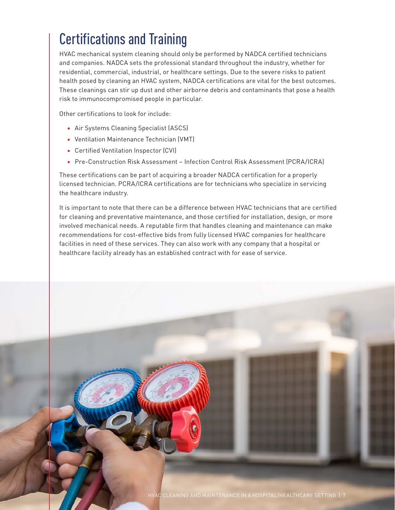### Certifications and Training

HVAC mechanical system cleaning should only be performed by NADCA certified technicians and companies. NADCA sets the professional standard throughout the industry, whether for residential, commercial, industrial, or healthcare settings. Due to the severe risks to patient health posed by cleaning an HVAC system, NADCA certifications are vital for the best outcomes. These cleanings can stir up dust and other airborne debris and contaminants that pose a health risk to immunocompromised people in particular.

Other certifications to look for include:

- Air Systems Cleaning Specialist (ASCS)
- Ventilation Maintenance Technician (VMT)
- Certified Ventilation Inspector (CVI)
- Pre-Construction Risk Assessment Infection Control Risk Assessment (PCRA/ICRA)

These certifications can be part of acquiring a broader NADCA certification for a properly licensed technician. PCRA/ICRA certifications are for technicians who specialize in servicing the healthcare industry.

It is important to note that there can be a difference between HVAC technicians that are certified for cleaning and preventative maintenance, and those certified for installation, design, or more involved mechanical needs. A reputable firm that handles cleaning and maintenance can make recommendations for cost-effective bids from fully licensed HVAC companies for healthcare facilities in need of these services. They can also work with any company that a hospital or healthcare facility already has an established contract with for ease of service.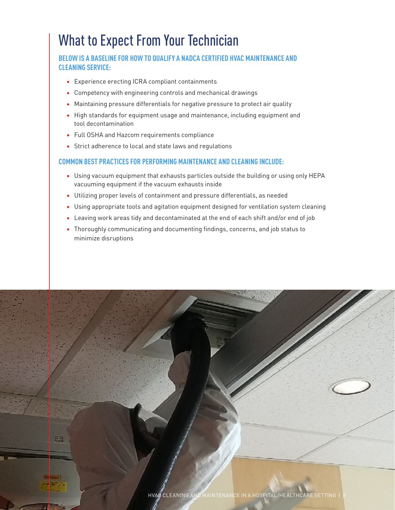### What to Expect From Your Technician

#### **BELOW IS A BASELINE FOR HOW TO QUALIFY A NADCA CERTIFIED HVAC MAINTENANCE AND CLEANING SERVICE:**

- Experience erecting ICRA compliant containments
- Competency with engineering controls and mechanical drawings
- Maintaining pressure differentials for negative pressure to protect air quality
- High standards for equipment usage and maintenance, including equipment and tool decontamination
- Full OSHA and Hazcom requirements compliance
- Strict adherence to local and state laws and regulations

#### **COMMON BEST PRACTICES FOR PERFORMING MAINTENANCE AND CLEANING INCLUDE:**

- Using vacuum equipment that exhausts particles outside the building or using only HEPA vacuuming equipment if the vacuum exhausts inside
- Utilizing proper levels of containment and pressure differentials, as needed
- Using appropriate tools and agitation equipment designed for ventilation system cleaning
- Leaving work areas tidy and decontaminated at the end of each shift and/or end of job
- Thoroughly communicating and documenting findings, concerns, and job status to minimize disruptions

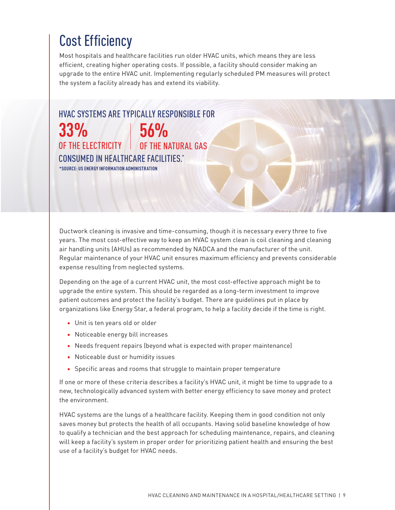### Cost Efficiency

Most hospitals and healthcare facilities run older HVAC units, which means they are less efficient, creating higher operating costs. If possible, a facility should consider making an upgrade to the entire HVAC unit. Implementing regularly scheduled PM measures will protect the system a facility already has and extend its viability.

HVAC SYSTEMS ARE TYPICALLY RESPONSIBLE FOR **33%** OF THE ELECTRICITY CONSUMED IN HEALTHCARE FACILITIES.\* **\*SOURCE: US ENERGY INFORMATION ADMINISTRATION 56%** OF THE NATURAL GAS

Ductwork cleaning is invasive and time-consuming, though it is necessary every three to five years. The most cost-effective way to keep an HVAC system clean is coil cleaning and cleaning air handling units (AHUs) as recommended by NADCA and the manufacturer of the unit. Regular maintenance of your HVAC unit ensures maximum efficiency and prevents considerable expense resulting from neglected systems.

Depending on the age of a current HVAC unit, the most cost-effective approach might be to upgrade the entire system. This should be regarded as a long-term investment to improve patient outcomes and protect the facility's budget. There are guidelines put in place by organizations like Energy Star, a federal program, to help a facility decide if the time is right.

- Unit is ten years old or older
- Noticeable energy bill increases
- Needs frequent repairs (beyond what is expected with proper maintenance)
- Noticeable dust or humidity issues
- Specific areas and rooms that struggle to maintain proper temperature

If one or more of these criteria describes a facility's HVAC unit, it might be time to upgrade to a new, technologically advanced system with better energy efficiency to save money and protect the environment.

HVAC systems are the lungs of a healthcare facility. Keeping them in good condition not only saves money but protects the health of all occupants. Having solid baseline knowledge of how to qualify a technician and the best approach for scheduling maintenance, repairs, and cleaning will keep a facility's system in proper order for prioritizing patient health and ensuring the best use of a facility's budget for HVAC needs.